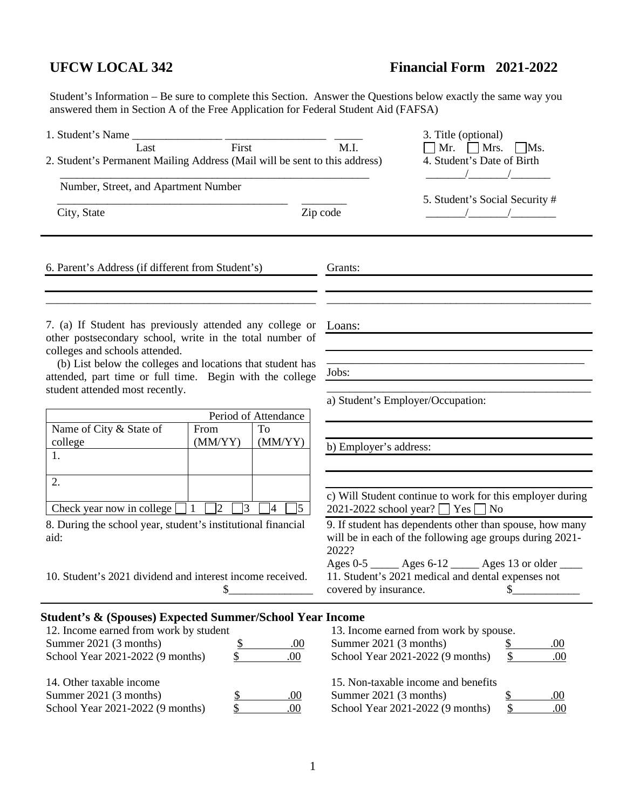# **UFCW LOCAL 342 Financial Form 2021-2022**

Student's Information – Be sure to complete this Section. Answer the Questions below exactly the same way you answered them in Section A of the Free Application for Federal Student Aid (FAFSA)

| 1. Student's Name Last First                                                                                                                                                                           | 3. Title (optional)                                                                                                                          |
|--------------------------------------------------------------------------------------------------------------------------------------------------------------------------------------------------------|----------------------------------------------------------------------------------------------------------------------------------------------|
| 2. Student's Permanent Mailing Address (Mail will be sent to this address)                                                                                                                             | M.I.<br>Mr. $Mrs$ .<br>$\mid$ Ms.<br>4. Student's Date of Birth                                                                              |
| Number, Street, and Apartment Number                                                                                                                                                                   |                                                                                                                                              |
| City, State                                                                                                                                                                                            | 5. Student's Social Security #<br>Zip code                                                                                                   |
| 6. Parent's Address (if different from Student's)                                                                                                                                                      | Grants:                                                                                                                                      |
| 7. (a) If Student has previously attended any college or<br>other postsecondary school, write in the total number of                                                                                   | Loans:                                                                                                                                       |
| colleges and schools attended.<br>(b) List below the colleges and locations that student has<br>attended, part time or full time. Begin with the college<br>student attended most recently.            | Jobs:                                                                                                                                        |
|                                                                                                                                                                                                        | a) Student's Employer/Occupation:                                                                                                            |
| Period of Attendance<br>Name of City & State of<br>To<br>From                                                                                                                                          |                                                                                                                                              |
| (MM/YY)<br>(MM/YY)<br>college<br>1.                                                                                                                                                                    | b) Employer's address:                                                                                                                       |
|                                                                                                                                                                                                        |                                                                                                                                              |
| 2.<br>Check year now in college [<br>$\sqsupset$ 1 $\sqcap$ 2<br>$\sqrt{3}$<br>$\sqrt{5}$<br>$ 4\rangle$                                                                                               | c) Will Student continue to work for this employer during<br>2021-2022 school year? $\Box$ Yes $\Box$ No                                     |
| 8. During the school year, student's institutional financial<br>aid:                                                                                                                                   | 9. If student has dependents other than spouse, how many<br>will be in each of the following age groups during 2021-<br>2022?                |
| 10. Student's 2021 dividend and interest income received.<br>\$                                                                                                                                        | Ages 0-5 _____ Ages 6-12 _____ Ages 13 or older ____<br>11. Student's 2021 medical and dental expenses not<br>\$<br>covered by insurance.    |
| <b>Student's &amp; (Spouses) Expected Summer/School Year Income</b><br>12. Income earned from work by student<br>Summer 2021 (3 months)<br>\$<br>.00.<br>\$<br>School Year 2021-2022 (9 months)<br>.00 | 13. Income earned from work by spouse.<br>Summer 2021 (3 months)<br><u>\$</u><br><u>.00</u><br>\$<br>School Year 2021-2022 (9 months)<br>.00 |
| 14. Other taxable income<br>Summer 2021 (3 months)<br>\$<br>.00<br>School Year 2021-2022 (9 months)<br>\$<br>.00                                                                                       | 15. Non-taxable income and benefits<br>Summer 2021 (3 months)<br>$\frac{1}{2}$<br>.00<br>School Year 2021-2022 (9 months)<br>\$<br>.00       |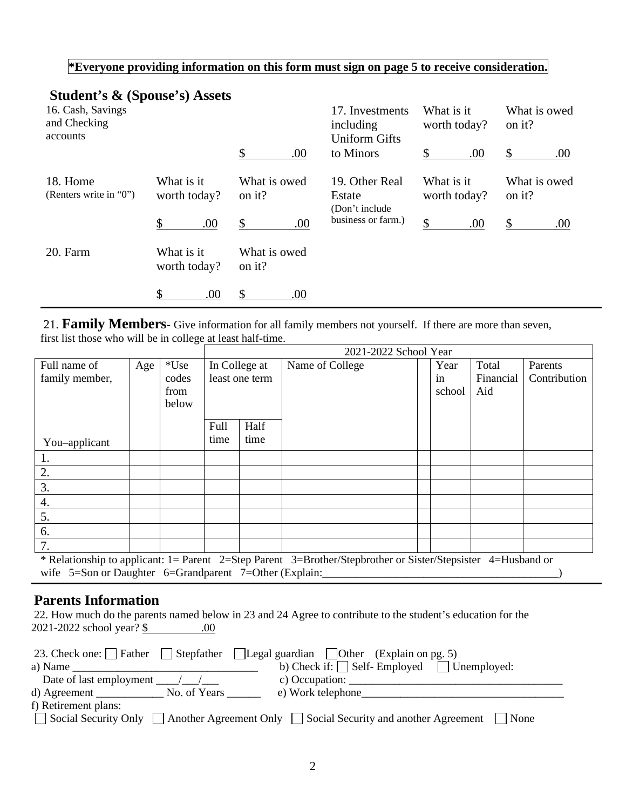### **\*Everyone providing information on this form must sign on page 5 to receive consideration.**

# **Student's & (Spouse's) Assets**

| 16. Cash, Savings<br>and Checking<br>accounts |                            |                        | 17. Investments<br>including<br><b>Uniform Gifts</b> | What is it<br>worth today? | What is owed<br>on it? |
|-----------------------------------------------|----------------------------|------------------------|------------------------------------------------------|----------------------------|------------------------|
|                                               |                            | \$<br>.00              | to Minors                                            | $\mathbb{S}$<br>.00        | \$<br>.00.             |
| 18. Home<br>(Renters write in "0")            | What is it<br>worth today? | What is owed<br>on it? | 19. Other Real<br>Estate<br>(Don't include)          | What is it<br>worth today? | What is owed<br>on it? |
|                                               | $\mathcal{S}$<br>.00       | \$<br>.00              | business or farm.)                                   | \$<br>.00                  | $\mathbb{S}$<br>.00.   |
| 20. Farm                                      | What is it<br>worth today? | What is owed<br>on it? |                                                      |                            |                        |
|                                               | \$<br>.00                  | .00                    |                                                      |                            |                        |

21. **Family Members**- Give information for all family members not yourself. If there are more than seven, first list those who will be in college at least half-time.

|                                                                                                              |     |        |      |                | 2021-2022 School Year |        |           |              |
|--------------------------------------------------------------------------------------------------------------|-----|--------|------|----------------|-----------------------|--------|-----------|--------------|
| Full name of                                                                                                 | Age | $*Use$ |      | In College at  | Name of College       | Year   | Total     | Parents      |
| family member,                                                                                               |     | codes  |      | least one term |                       | in     | Financial | Contribution |
|                                                                                                              |     | from   |      |                |                       | school | Aid       |              |
|                                                                                                              |     | below  |      |                |                       |        |           |              |
|                                                                                                              |     |        |      |                |                       |        |           |              |
|                                                                                                              |     |        | Full | Half           |                       |        |           |              |
| You-applicant                                                                                                |     |        | time | time           |                       |        |           |              |
|                                                                                                              |     |        |      |                |                       |        |           |              |
| 2.                                                                                                           |     |        |      |                |                       |        |           |              |
| 3.                                                                                                           |     |        |      |                |                       |        |           |              |
| 4.                                                                                                           |     |        |      |                |                       |        |           |              |
| 5.                                                                                                           |     |        |      |                |                       |        |           |              |
| 6.                                                                                                           |     |        |      |                |                       |        |           |              |
| 7.                                                                                                           |     |        |      |                |                       |        |           |              |
| * Relationship to applicant: 1= Parent 2=Step Parent 3=Brother/Stepbrother or Sister/Stepsister 4=Husband or |     |        |      |                |                       |        |           |              |
| wife $5=$ Son or Daughter $6=$ Grandparent $7=$ Other (Explain:                                              |     |        |      |                |                       |        |           |              |

# **Parents Information**

| 22. How much do the parents named below in 23 and 24 Agree to contribute to the student's education for the |  |  |  |
|-------------------------------------------------------------------------------------------------------------|--|--|--|
| 2021-2022 school year? \$                                                                                   |  |  |  |

|                                                          | 23. Check one: Father Stepfather Legal guardian Other (Explain on pg. 5)                       |
|----------------------------------------------------------|------------------------------------------------------------------------------------------------|
| a) Name                                                  | b) Check if: $\Box$ Self- Employed $\Box$ Unemployed:                                          |
| Date of last employment $\frac{1}{\sqrt{1-\frac{1}{2}}}$ | c) Occupation: $\qquad \qquad$                                                                 |
| d) Agreement No. of Years                                | e) Work telephone_                                                                             |
| f) Retirement plans:                                     |                                                                                                |
|                                                          | □ Social Security Only □ Another Agreement Only □ Social Security and another Agreement □ None |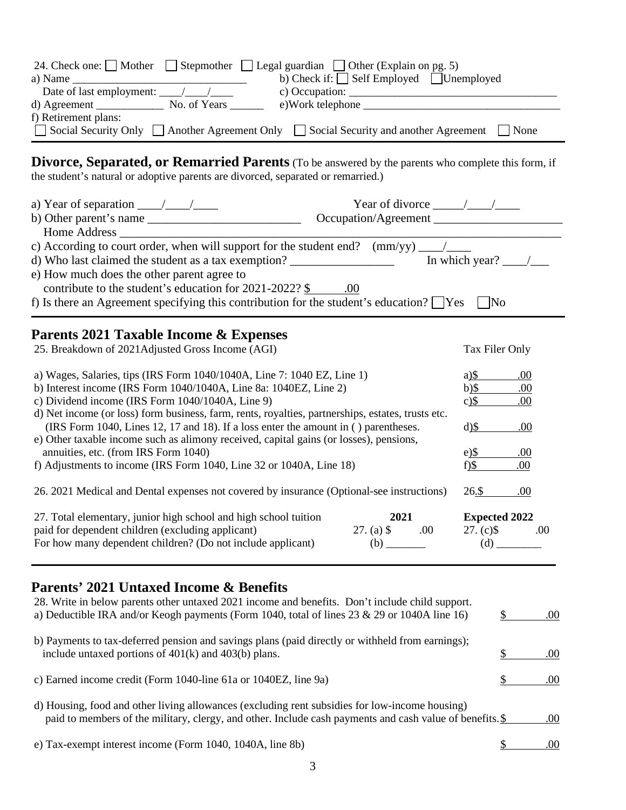|                                                           | 24. Check one: $\Box$ Mother $\Box$ Stepmother $\Box$ Legal guardian $\Box$ Other (Explain on pg. 5) |
|-----------------------------------------------------------|------------------------------------------------------------------------------------------------------|
| a) Name                                                   | b) Check if: $\Box$ Self Employed $\Box$ Unemployed                                                  |
| Date of last employment: $\frac{1}{\sqrt{1-\frac{1}{2}}}$ | c) Occupation: $\_\_$                                                                                |
| $d)$ Agreement                                            | e)Work telephone<br>No. of Years                                                                     |
| f) Retirement plans:                                      |                                                                                                      |
|                                                           | □ Social Security Only □ Another Agreement Only □ Social Security and another Agreement □<br>None    |

**Divorce, Separated, or Remarried Parents** (To be answered by the parents who complete this form, if the student's natural or adoptive parents are divorced, separated or remarried.)

| a) Year of separation $\frac{\sqrt{2}}{2}$                                                                                                                                                                                                                          | Year of divorce $\frac{\sqrt{2}}{2}$<br>Occupation/Agreement |                                                     |      |
|---------------------------------------------------------------------------------------------------------------------------------------------------------------------------------------------------------------------------------------------------------------------|--------------------------------------------------------------|-----------------------------------------------------|------|
| d) Who last claimed the student as a tax exemption?<br>e) How much does the other parent agree to<br>contribute to the student's education for $2021-2022?$ \$ .00<br>f) Is there an Agreement specifying this contribution for the student's education? $\Box$ Yes |                                                              | In which year? $\frac{\ }{\ }$<br>$\blacksquare$ No |      |
|                                                                                                                                                                                                                                                                     |                                                              |                                                     |      |
| Parents 2021 Taxable Income & Expenses                                                                                                                                                                                                                              |                                                              |                                                     |      |
| 25. Breakdown of 2021Adjusted Gross Income (AGI)                                                                                                                                                                                                                    |                                                              | Tax Filer Only                                      |      |
| a) Wages, Salaries, tips (IRS Form 1040/1040A, Line 7: 1040 EZ, Line 1)                                                                                                                                                                                             |                                                              | $a)$ \$                                             | .00  |
| b) Interest income (IRS Form 1040/1040A, Line 8a: 1040EZ, Line 2)                                                                                                                                                                                                   |                                                              | $b)$ \$                                             | .00  |
| c) Dividend income (IRS Form 1040/1040A, Line 9)                                                                                                                                                                                                                    |                                                              | $c)$ \$                                             | .00  |
| d) Net income (or loss) form business, farm, rents, royalties, partnerships, estates, trusts etc.                                                                                                                                                                   |                                                              |                                                     |      |
| (IRS Form 1040, Lines 12, 17 and 18). If a loss enter the amount in () parentheses.                                                                                                                                                                                 |                                                              | $d$ )\$                                             | .00. |
| e) Other taxable income such as alimony received, capital gains (or losses), pensions,                                                                                                                                                                              |                                                              |                                                     |      |
| annuities, etc. (from IRS Form 1040)                                                                                                                                                                                                                                |                                                              | $e)$ \$                                             | .00  |
| f) Adjustments to income (IRS Form 1040, Line 32 or 1040A, Line 18)                                                                                                                                                                                                 |                                                              | $f$ $$$                                             | .00  |
| 26. 2021 Medical and Dental expenses not covered by insurance (Optional-see instructions)                                                                                                                                                                           |                                                              | 26.5                                                | .00. |
| 27. Total elementary, junior high school and high school tuition                                                                                                                                                                                                    | 2021                                                         | <b>Expected 2022</b>                                |      |
| paid for dependent children (excluding applicant)                                                                                                                                                                                                                   | $27. (a)$ \$ .00                                             | $27. (c)$ \$                                        | .00  |
| For how many dependent children? (Do not include applicant)                                                                                                                                                                                                         |                                                              |                                                     |      |

# **Parents' 2021 Untaxed Income & Benefits**

| 28. Write in below parents other untaxed 2021 income and benefits. Don't include child support.<br>a) Deductible IRA and/or Keogh payments (Form 1040, total of lines $23 \& 29$ or 1040A line 16)           | .00 |
|--------------------------------------------------------------------------------------------------------------------------------------------------------------------------------------------------------------|-----|
| b) Payments to tax-deferred pension and savings plans (paid directly or withheld from earnings);<br>include untaxed portions of $401(k)$ and $403(b)$ plans.                                                 | .00 |
| c) Earned income credit (Form 1040-line 61a or 1040EZ, line 9a)                                                                                                                                              | .00 |
| d) Housing, food and other living allowances (excluding rent subsidies for low-income housing)<br>paid to members of the military, clergy, and other. Include cash payments and cash value of benefits. $\S$ | .00 |
| e) Tax-exempt interest income (Form 1040, 1040A, line 8b)                                                                                                                                                    | .00 |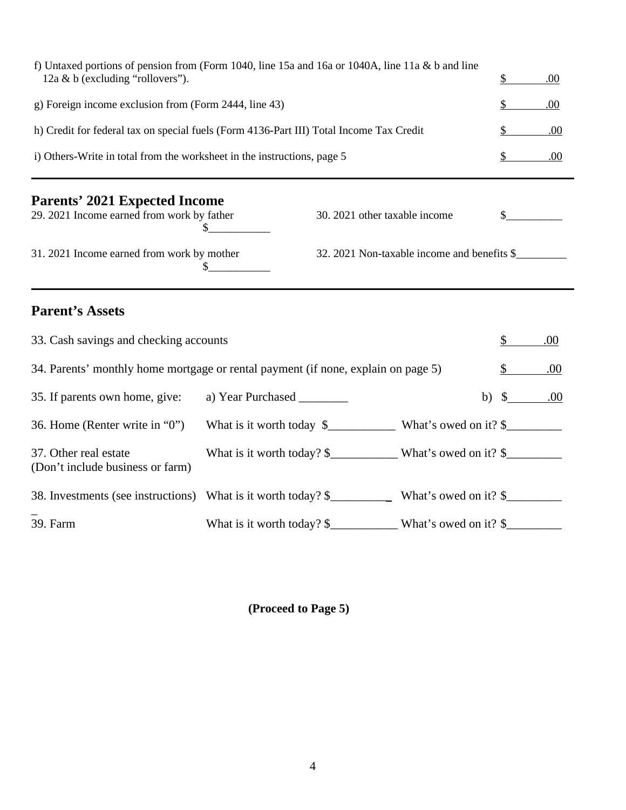| f) Untaxed portions of pension from (Form 1040, line 15a and 16a or 1040A, line 11a & b and line<br>12a & b (excluding "rollovers"). |                                                                        |                               |                                             |               | .00 |
|--------------------------------------------------------------------------------------------------------------------------------------|------------------------------------------------------------------------|-------------------------------|---------------------------------------------|---------------|-----|
| g) Foreign income exclusion from (Form 2444, line 43)                                                                                |                                                                        |                               |                                             |               | .00 |
| h) Credit for federal tax on special fuels (Form 4136-Part III) Total Income Tax Credit                                              |                                                                        |                               |                                             |               | .00 |
| i) Others-Write in total from the worksheet in the instructions, page 5                                                              |                                                                        |                               |                                             |               | .00 |
| <b>Parents' 2021 Expected Income</b><br>29. 2021 Income earned from work by father                                                   | S.                                                                     | 30. 2021 other taxable income |                                             |               |     |
| 31. 2021 Income earned from work by mother                                                                                           | S.                                                                     |                               | 32. 2021 Non-taxable income and benefits \$ |               |     |
| <b>Parent's Assets</b>                                                                                                               |                                                                        |                               |                                             |               |     |
| 33. Cash savings and checking accounts                                                                                               |                                                                        |                               |                                             | \$            | .00 |
| 34. Parents' monthly home mortgage or rental payment (if none, explain on page 5)                                                    |                                                                        |                               |                                             |               | .00 |
| 35. If parents own home, give:                                                                                                       | a) Year Purchased                                                      |                               | b)                                          | $\mathcal{S}$ | .00 |
| 36. Home (Renter write in "0")                                                                                                       |                                                                        |                               |                                             |               |     |
| 37. Other real estate<br>(Don't include business or farm)                                                                            |                                                                        |                               |                                             |               |     |
| 38. Investments (see instructions)                                                                                                   |                                                                        |                               |                                             |               |     |
| 39. Farm                                                                                                                             | What is it worth today? $\frac{1}{2}$ What's owed on it? $\frac{1}{2}$ |                               |                                             |               |     |

**(Proceed to Page 5)**